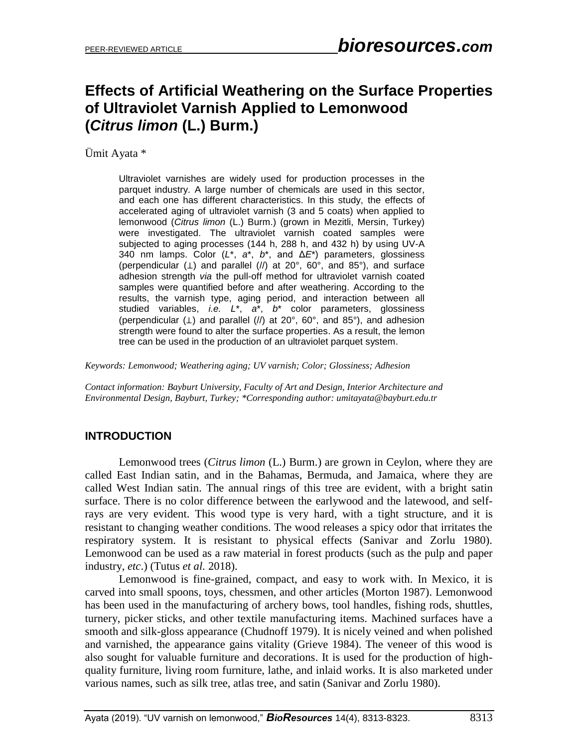# **Effects of Artificial Weathering on the Surface Properties of Ultraviolet Varnish Applied to Lemonwood (***Citrus limon* **(L.) Burm.)**

Ümit Ayata \*

Ultraviolet varnishes are widely used for production processes in the parquet industry. A large number of chemicals are used in this sector, and each one has different characteristics. In this study, the effects of accelerated aging of ultraviolet varnish (3 and 5 coats) when applied to lemonwood (*Citrus limon* (L.) Burm.) (grown in Mezitli, Mersin, Turkey) were investigated. The ultraviolet varnish coated samples were subjected to aging processes (144 h, 288 h, and 432 h) by using UV-A 340 nm lamps. Color (*L*\*, *a*\*, *b*\*, and Δ*E*\*) parameters, glossiness (perpendicular (⊥) and parallel (//) at 20°, 60°, and 85°), and surface adhesion strength *via* the pull-off method for ultraviolet varnish coated samples were quantified before and after weathering. According to the results, the varnish type, aging period, and interaction between all studied variables, *i.e. L*\*, *a*\*, *b*\* color parameters, glossiness (perpendicular (⊥) and parallel (//) at 20°, 60°, and 85°), and adhesion strength were found to alter the surface properties. As a result, the lemon tree can be used in the production of an ultraviolet parquet system.

*Keywords: Lemonwood; Weathering aging; UV varnish; Color; Glossiness; Adhesion*

*Contact information: Bayburt University, Faculty of Art and Design, Interior Architecture and Environmental Design, Bayburt, Turkey; \*Corresponding author: umitayata@bayburt.edu.tr*

# **INTRODUCTION**

Lemonwood trees (*Citrus limon* (L.) Burm.) are grown in Ceylon, where they are called East Indian satin, and in the Bahamas, Bermuda, and Jamaica, where they are called West Indian satin. The annual rings of this tree are evident, with a bright satin surface. There is no color difference between the earlywood and the latewood, and selfrays are very evident. This wood type is very hard, with a tight structure, and it is resistant to changing weather conditions. The wood releases a spicy odor that irritates the respiratory system. It is resistant to physical effects (Sanivar and Zorlu 1980). Lemonwood can be used as a raw material in forest products (such as the pulp and paper industry, *etc*.) (Tutus *et al.* 2018).

Lemonwood is fine-grained, compact, and easy to work with. In Mexico, it is carved into small spoons, toys, chessmen, and other articles (Morton 1987). Lemonwood has been used in the manufacturing of archery bows, tool handles, fishing rods, shuttles, turnery, picker sticks, and other textile manufacturing items. Machined surfaces have a smooth and silk-gloss appearance (Chudnoff 1979). It is nicely veined and when polished and varnished, the appearance gains vitality (Grieve 1984). The veneer of this wood is also sought for valuable furniture and decorations. It is used for the production of highquality furniture, living room furniture, lathe, and inlaid works. It is also marketed under various names, such as silk tree, atlas tree, and satin (Sanivar and Zorlu 1980).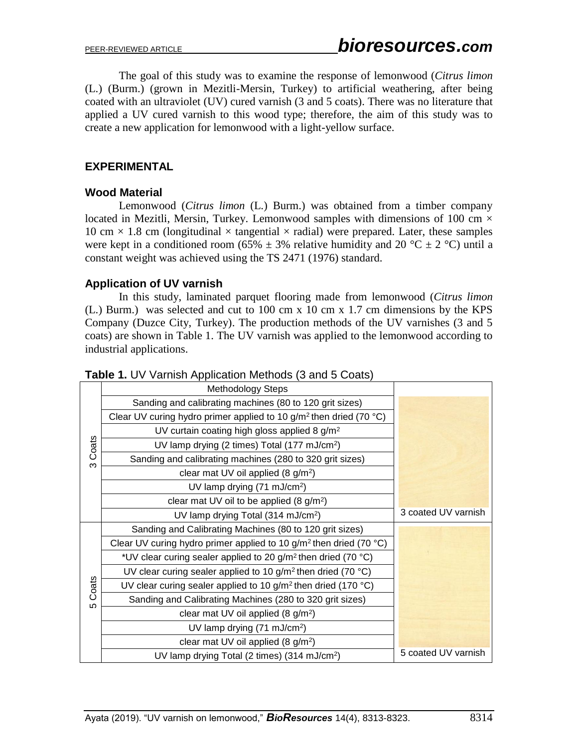The goal of this study was to examine the response of lemonwood (*Citrus limon* (L.) (Burm.) (grown in Mezitli-Mersin, Turkey) to artificial weathering, after being coated with an ultraviolet (UV) cured varnish (3 and 5 coats). There was no literature that applied a UV cured varnish to this wood type; therefore, the aim of this study was to create a new application for lemonwood with a light-yellow surface.

## **EXPERIMENTAL**

## **Wood Material**

Lemonwood (*Citrus limon* (L.) Burm.) was obtained from a timber company located in Mezitli, Mersin, Turkey. Lemonwood samples with dimensions of 100 cm  $\times$ 10 cm  $\times$  1.8 cm (longitudinal  $\times$  tangential  $\times$  radial) were prepared. Later, these samples were kept in a conditioned room (65%  $\pm$  3% relative humidity and 20 °C  $\pm$  2 °C) until a constant weight was achieved using the TS 2471 (1976) standard.

## **Application of UV varnish**

In this study, laminated parquet flooring made from lemonwood (*Citrus limon* (L.) Burm.) was selected and cut to 100 cm x 10 cm x 1.7 cm dimensions by the KPS Company (Duzce City, Turkey). The production methods of the UV varnishes (3 and 5 coats) are shown in Table 1. The UV varnish was applied to the lemonwood according to industrial applications.

| Table 1. UV Varnish Application Methods (3 and 5 Coats) |  |
|---------------------------------------------------------|--|
|---------------------------------------------------------|--|

|       | <b>Methodology Steps</b>                                                            |                     |
|-------|-------------------------------------------------------------------------------------|---------------------|
|       | Sanding and calibrating machines (80 to 120 grit sizes)                             |                     |
|       | Clear UV curing hydro primer applied to 10 g/m <sup>2</sup> then dried (70 °C)      |                     |
|       | UV curtain coating high gloss applied 8 $g/m^2$                                     |                     |
| Coats | UV lamp drying (2 times) Total (177 mJ/cm <sup>2</sup> )                            |                     |
| ო     | Sanding and calibrating machines (280 to 320 grit sizes)                            |                     |
|       | clear mat UV oil applied $(8 \text{ g/m}^2)$                                        |                     |
|       | UV lamp drying $(71 \text{ mJ/cm}^2)$                                               |                     |
|       | clear mat UV oil to be applied $(8 \text{ g/m}^2)$                                  |                     |
|       | UV lamp drying Total (314 mJ/cm <sup>2</sup> )                                      | 3 coated UV varnish |
|       | Sanding and Calibrating Machines (80 to 120 grit sizes)                             |                     |
|       | Clear UV curing hydro primer applied to 10 g/m <sup>2</sup> then dried (70 °C)      |                     |
|       | *UV clear curing sealer applied to 20 g/m <sup>2</sup> then dried (70 $^{\circ}$ C) |                     |
|       | UV clear curing sealer applied to 10 g/m <sup>2</sup> then dried (70 °C)            |                     |
| Coats | UV clear curing sealer applied to 10 g/m <sup>2</sup> then dried (170 °C)           |                     |
| မာ    | Sanding and Calibrating Machines (280 to 320 grit sizes)                            |                     |
|       | clear mat UV oil applied $(8 \text{ g/m}^2)$                                        |                     |
|       | UV lamp drying (71 mJ/cm <sup>2</sup> )                                             |                     |
|       | clear mat UV oil applied (8 g/m <sup>2</sup> )                                      |                     |
|       | UV lamp drying Total (2 times) (314 mJ/cm <sup>2</sup> )                            | 5 coated UV varnish |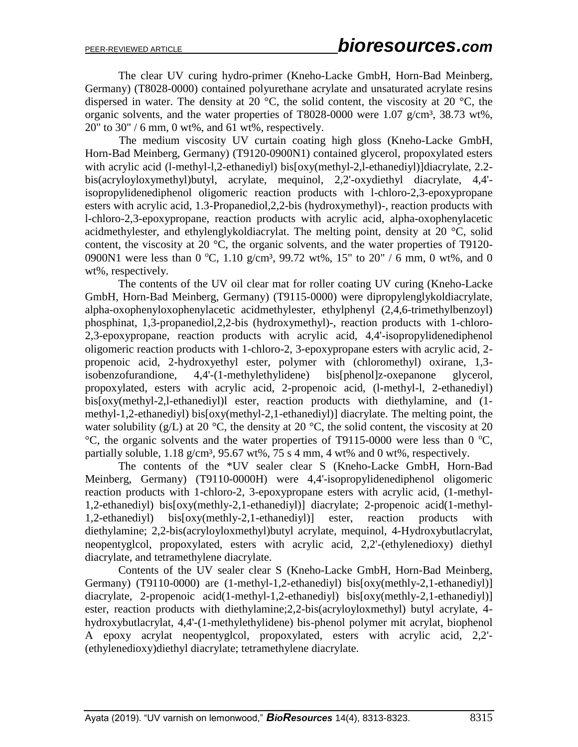The clear UV curing hydro-primer (Kneho-Lacke GmbH, Horn-Bad Meinberg, Germany) (T8028-0000) contained polyurethane acrylate and unsaturated acrylate resins dispersed in water. The density at 20  $^{\circ}$ C, the solid content, the viscosity at 20  $^{\circ}$ C, the organic solvents, and the water properties of T8028-0000 were  $1.07$  g/cm<sup>3</sup>, 38.73 wt%, 20" to 30" / 6 mm, 0 wt%, and 61 wt%, respectively.

The medium viscosity UV curtain coating high gloss (Kneho-Lacke GmbH, Horn-Bad Meinberg, Germany) (T9120-0900N1) contained glycerol, propoxylated esters with acrylic acid (l-methyl-l,2-ethanediyl) bis[oxy(methyl-2,l-ethanediyl)]diacrylate, 2.2bis(acryloyloxymethyl)butyl, acrylate, mequinol, 2,2'-oxydiethyl diacrylate, 4,4' isopropylidenediphenol oligomeric reaction products with l-chloro-2,3-epoxypropane esters with acrylic acid, 1.3-Propanediol,2,2-bis (hydroxymethyl)-, reaction products with l-chloro-2,3-epoxypropane, reaction products with acrylic acid, alpha-oxophenylacetic acidmethylester, and ethylenglykoldiacrylat. The melting point, density at 20 °C, solid content, the viscosity at 20 °C, the organic solvents, and the water properties of T9120- 0900N1 were less than 0 °C, 1.10 g/cm<sup>3</sup>, 99.72 wt%, 15" to 20" / 6 mm, 0 wt%, and 0 wt%, respectively.

The contents of the UV oil clear mat for roller coating UV curing (Kneho-Lacke GmbH, Horn-Bad Meinberg, Germany) (T9115-0000) were dipropylenglykoldiacrylate, alpha-oxophenyloxophenylacetic acidmethylester, ethylphenyl (2,4,6-trimethylbenzoyl) phosphinat, 1,3-propanediol,2,2-bis (hydroxymethyl)-, reaction products with 1-chloro-2,3-epoxypropane, reaction products with acrylic acid, 4,4'-isopropylidenediphenol oligomeric reaction products with 1-chloro-2, 3-epoxypropane esters with acrylic acid, 2 propenoic acid, 2-hydroxyethyl ester, polymer with (chloromethyl) oxirane, 1,3 isobenzofurandione, 4,4'-(1-methylethylidene) bis[phenol]z-oxepanone glycerol, propoxylated, esters with acrylic acid, 2-propenoic acid, (l-methyl-l, 2-ethanediyl) bis[oxy(methyl-2,l-ethanediyl)l ester, reaction products with diethylamine, and (1 methyl-1,2-ethanediyl) bis[oxy(methyl-2,1-ethanediyl)] diacrylate. The melting point, the water solubility (g/L) at 20  $\degree$ C, the density at 20  $\degree$ C, the solid content, the viscosity at 20  $\rm{^{\circ}C}$ , the organic solvents and the water properties of T9115-0000 were less than 0  $\rm{^{\circ}C}$ , partially soluble,  $1.18 \text{ g/cm}^3$ ,  $95.67 \text{ wt}$ %,  $75 \text{ s}$  4 mm, 4 wt% and 0 wt%, respectively.

The contents of the \*UV sealer clear S (Kneho-Lacke GmbH, Horn-Bad Meinberg, Germany) (T9110-0000H) were 4,4'-isopropylidenediphenol oligomeric reaction products with 1-chloro-2, 3-epoxypropane esters with acrylic acid, (1-methyl-1,2-ethanediyl) bis[oxy(methly-2,1-ethanediyl)] diacrylate; 2-propenoic acid(1-methyl-1,2-ethanediyl) bis[oxy(methly-2,1-ethanediyl)] ester, reaction products with diethylamine; 2,2-bis(acryloyloxmethyl)butyl acrylate, mequinol, 4-Hydroxybutlacrylat, neopentyglcol, propoxylated, esters with acrylic acid, 2,2'-(ethylenedioxy) diethyl diacrylate, and tetramethylene diacrylate.

Contents of the UV sealer clear S (Kneho-Lacke GmbH, Horn-Bad Meinberg, Germany) (T9110-0000) are (1-methyl-1,2-ethanediyl) bis[oxy(methly-2,1-ethanediyl)] diacrylate, 2-propenoic acid(1-methyl-1,2-ethanediyl) bis[oxy(methly-2,1-ethanediyl)] ester, reaction products with diethylamine;2,2-bis(acryloyloxmethyl) butyl acrylate, 4 hydroxybutlacrylat, 4,4'-(1-methylethylidene) bis-phenol polymer mit acrylat, biophenol A epoxy acrylat neopentyglcol, propoxylated, esters with acrylic acid, 2,2'- (ethylenedioxy)diethyl diacrylate; tetramethylene diacrylate.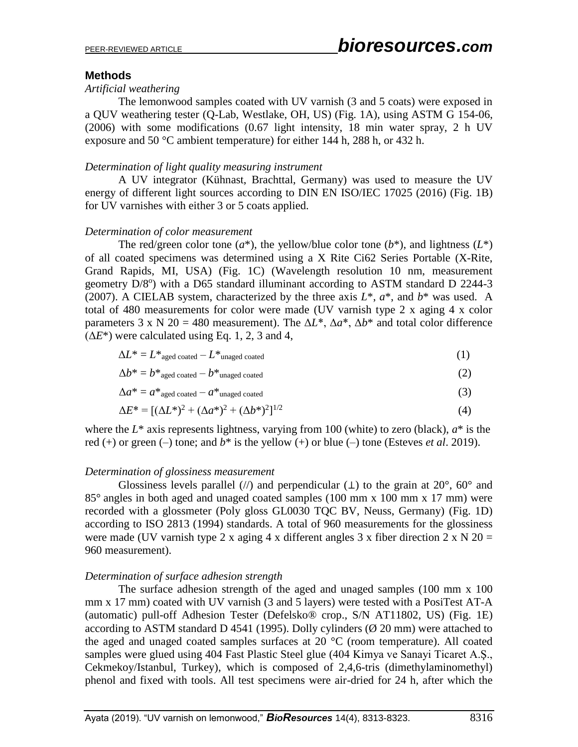### **Methods**

#### *Artificial weathering*

The lemonwood samples coated with UV varnish (3 and 5 coats) were exposed in a QUV weathering tester (Q-Lab, Westlake, OH, US) (Fig. 1A), using ASTM G 154-06, (2006) with some modifications (0.67 light intensity, 18 min water spray, 2 h UV exposure and 50 °C ambient temperature) for either 144 h, 288 h, or 432 h.

#### *Determination of light quality measuring instrument*

A UV integrator (Kühnast, Brachttal, Germany) was used to measure the UV energy of different light sources according to DIN EN ISO/IEC 17025 (2016) (Fig. 1B) for UV varnishes with either 3 or 5 coats applied.

#### *Determination of color measurement*

The red/green color tone  $(a^*)$ , the yellow/blue color tone  $(b^*)$ , and lightness  $(L^*)$ of all coated specimens was determined using a X Rite Ci62 Series Portable (X-Rite, Grand Rapids, MI, USA) (Fig. 1C) (Wavelength resolution 10 nm, measurement geometry D/8°) with a D65 standard illuminant according to ASTM standard D 2244-3 (2007). A CIELAB system, characterized by the three axis  $L^*$ ,  $a^*$ , and  $b^*$  was used. A total of 480 measurements for color were made (UV varnish type 2 x aging 4 x color parameters 3 x N 20 = 480 measurement). The  $\Delta L^*$ ,  $\Delta a^*$ ,  $\Delta b^*$  and total color difference  $(\Delta E^*)$  were calculated using Eq. 1, 2, 3 and 4,

$$
\Delta L^* = L^*_{\text{aged coated}} - L^*_{\text{unaged coated}} \tag{1}
$$

$$
\Delta b^* = b^* \text{aged coated} - b^* \text{unaged coated} \tag{2}
$$

$$
\Delta a^* = a^*_{\text{aged coated}} - a^*_{\text{unaged coated}} \tag{3}
$$

$$
\Delta E^* = [(\Delta L^*)^2 + (\Delta a^*)^2 + (\Delta b^*)^2]^{1/2}
$$
\n(4)

where the  $L^*$  axis represents lightness, varying from 100 (white) to zero (black),  $a^*$  is the red (+) or green (-) tone; and  $b^*$  is the yellow (+) or blue (-) tone (Esteves *et al.* 2019).

#### *Determination of glossiness measurement*

Glossiness levels parallel (//) and perpendicular ( $\perp$ ) to the grain at 20°, 60° and 85° angles in both aged and unaged coated samples (100 mm x 100 mm x 17 mm) were recorded with a glossmeter (Poly gloss GL0030 TQC BV, Neuss, Germany) (Fig. 1D) according to ISO 2813 (1994) standards. A total of 960 measurements for the glossiness were made (UV varnish type 2 x aging 4 x different angles 3 x fiber direction 2 x N 20 = 960 measurement).

#### *Determination of surface adhesion strength*

The surface adhesion strength of the aged and unaged samples (100 mm x 100 mm x 17 mm) coated with UV varnish (3 and 5 layers) were tested with a PosiTest AT-A (automatic) pull-off Adhesion Tester (Defelsko® crop., S/N AT11802, US) (Fig. 1E) according to ASTM standard D 4541 (1995). Dolly cylinders ( $\varnothing$  20 mm) were attached to the aged and unaged coated samples surfaces at 20 °C (room temperature). All coated samples were glued using 404 Fast Plastic Steel glue (404 Kimya ve Sanayi Ticaret A.Ş., Cekmekoy/Istanbul, Turkey), which is composed of 2,4,6-tris (dimethylaminomethyl) phenol and fixed with tools. All test specimens were air-dried for 24 h, after which the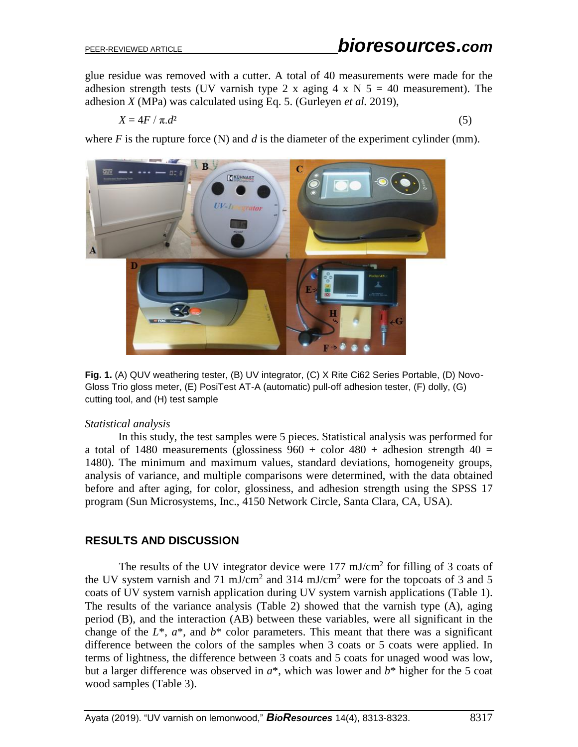glue residue was removed with a cutter. A total of 40 measurements were made for the adhesion strength tests (UV varnish type 2 x aging 4 x N  $5 = 40$  measurement). The adhesion *X* (MPa) was calculated using Eq. 5. (Gurleyen *et al.* 2019),

$$
X = 4F / \pi \, d^2 \tag{5}
$$

where  $F$  is the rupture force  $(N)$  and  $d$  is the diameter of the experiment cylinder  $(mm)$ .



**Fig. 1.** (A) QUV weathering tester, (B) UV integrator, (C) X Rite Ci62 Series Portable, (D) Novo-Gloss Trio gloss meter, (E) PosiTest AT-A (automatic) pull-off adhesion tester, (F) dolly, (G) cutting tool, and (H) test sample

#### *Statistical analysis*

In this study, the test samples were 5 pieces. Statistical analysis was performed for a total of 1480 measurements (glossiness  $960 +$  color  $480 +$  adhesion strength  $40 =$ 1480). The minimum and maximum values, standard deviations, homogeneity groups, analysis of variance, and multiple comparisons were determined, with the data obtained before and after aging, for color, glossiness, and adhesion strength using the SPSS 17 program (Sun Microsystems, Inc., 4150 Network Circle, Santa Clara, CA, USA).

## **RESULTS AND DISCUSSION**

The results of the UV integrator device were  $177 \text{ mJ/cm}^2$  for filling of 3 coats of the UV system varnish and 71 mJ/cm<sup>2</sup> and 314 mJ/cm<sup>2</sup> were for the topcoats of 3 and 5 coats of UV system varnish application during UV system varnish applications (Table 1). The results of the variance analysis (Table 2) showed that the varnish type (A), aging period (B), and the interaction (AB) between these variables, were all significant in the change of the  $L^*$ ,  $a^*$ , and  $b^*$  color parameters. This meant that there was a significant difference between the colors of the samples when 3 coats or 5 coats were applied. In terms of lightness, the difference between 3 coats and 5 coats for unaged wood was low, but a larger difference was observed in *a*\*, which was lower and *b*\* higher for the 5 coat wood samples (Table 3).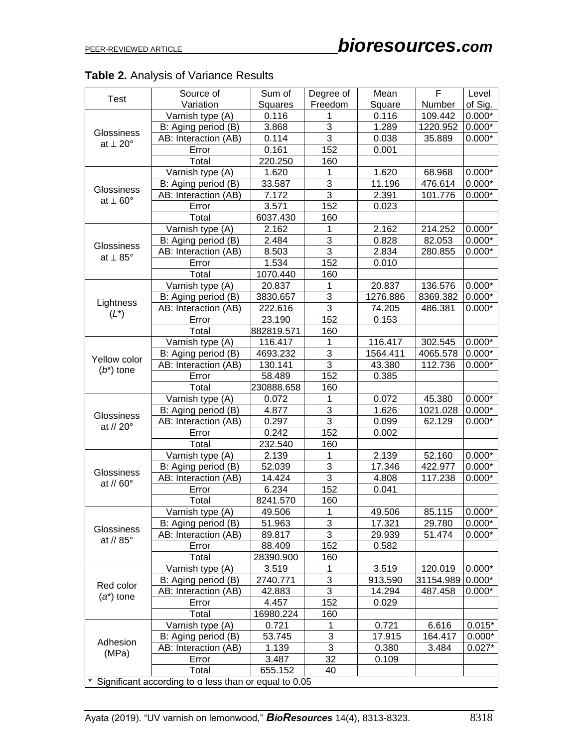|  |  |  |  |  |  |  | <b>Table 2.</b> Analysis of Variance Results |
|--|--|--|--|--|--|--|----------------------------------------------|
|--|--|--|--|--|--|--|----------------------------------------------|

| <b>Test</b><br>Variation<br>of Sig.<br>Squares<br>Freedom<br>Square<br>Number<br>$0.000*$<br>Varnish type (A)<br>0.116<br>1<br>0.116<br>109.442<br>$\overline{3}$<br>1.289<br>3.868<br>1220.952<br>$0.000*$<br>B: Aging period (B)<br><b>Glossiness</b><br>$\overline{3}$<br>0.114<br>0.038<br>AB: Interaction (AB)<br>35.889<br>$0.000*$<br>at $\perp 20^{\circ}$<br>152<br>0.161<br>0.001<br>Error<br>Total<br>220.250<br>160<br>1<br>Varnish type (A)<br>1.620<br>1.620<br>$0.000*$<br>68.968<br>$\overline{3}$<br>11.196<br>33.587<br>476.614<br>$0.000*$<br>B: Aging period (B)<br><b>Glossiness</b><br>$\overline{3}$<br>7.172<br>2.391<br>AB: Interaction (AB)<br>101.776<br>$0.000*$<br>at $\perp 60^{\circ}$<br>152<br>3.571<br>0.023<br>Error<br>160<br>Total<br>6037.430<br>1<br>Varnish type (A)<br>2.162<br>2.162<br>214.252<br>$0.000*$<br>$\overline{3}$<br>2.484<br>0.828<br>82.053<br>$0.000*$<br>B: Aging period (B)<br><b>Glossiness</b><br>$\overline{3}$<br>8.503<br>2.834<br>AB: Interaction (AB)<br>280.855<br>$0.000*$<br>at $\perp$ 85°<br>152<br>1.534<br>0.010<br>Error |
|----------------------------------------------------------------------------------------------------------------------------------------------------------------------------------------------------------------------------------------------------------------------------------------------------------------------------------------------------------------------------------------------------------------------------------------------------------------------------------------------------------------------------------------------------------------------------------------------------------------------------------------------------------------------------------------------------------------------------------------------------------------------------------------------------------------------------------------------------------------------------------------------------------------------------------------------------------------------------------------------------------------------------------------------------------------------------------------------------|
|                                                                                                                                                                                                                                                                                                                                                                                                                                                                                                                                                                                                                                                                                                                                                                                                                                                                                                                                                                                                                                                                                                    |
|                                                                                                                                                                                                                                                                                                                                                                                                                                                                                                                                                                                                                                                                                                                                                                                                                                                                                                                                                                                                                                                                                                    |
|                                                                                                                                                                                                                                                                                                                                                                                                                                                                                                                                                                                                                                                                                                                                                                                                                                                                                                                                                                                                                                                                                                    |
|                                                                                                                                                                                                                                                                                                                                                                                                                                                                                                                                                                                                                                                                                                                                                                                                                                                                                                                                                                                                                                                                                                    |
|                                                                                                                                                                                                                                                                                                                                                                                                                                                                                                                                                                                                                                                                                                                                                                                                                                                                                                                                                                                                                                                                                                    |
|                                                                                                                                                                                                                                                                                                                                                                                                                                                                                                                                                                                                                                                                                                                                                                                                                                                                                                                                                                                                                                                                                                    |
|                                                                                                                                                                                                                                                                                                                                                                                                                                                                                                                                                                                                                                                                                                                                                                                                                                                                                                                                                                                                                                                                                                    |
|                                                                                                                                                                                                                                                                                                                                                                                                                                                                                                                                                                                                                                                                                                                                                                                                                                                                                                                                                                                                                                                                                                    |
|                                                                                                                                                                                                                                                                                                                                                                                                                                                                                                                                                                                                                                                                                                                                                                                                                                                                                                                                                                                                                                                                                                    |
|                                                                                                                                                                                                                                                                                                                                                                                                                                                                                                                                                                                                                                                                                                                                                                                                                                                                                                                                                                                                                                                                                                    |
|                                                                                                                                                                                                                                                                                                                                                                                                                                                                                                                                                                                                                                                                                                                                                                                                                                                                                                                                                                                                                                                                                                    |
|                                                                                                                                                                                                                                                                                                                                                                                                                                                                                                                                                                                                                                                                                                                                                                                                                                                                                                                                                                                                                                                                                                    |
|                                                                                                                                                                                                                                                                                                                                                                                                                                                                                                                                                                                                                                                                                                                                                                                                                                                                                                                                                                                                                                                                                                    |
|                                                                                                                                                                                                                                                                                                                                                                                                                                                                                                                                                                                                                                                                                                                                                                                                                                                                                                                                                                                                                                                                                                    |
|                                                                                                                                                                                                                                                                                                                                                                                                                                                                                                                                                                                                                                                                                                                                                                                                                                                                                                                                                                                                                                                                                                    |
| 160<br>Total<br>1070.440                                                                                                                                                                                                                                                                                                                                                                                                                                                                                                                                                                                                                                                                                                                                                                                                                                                                                                                                                                                                                                                                           |
| $\mathbf{1}$<br>Varnish type (A)<br>20.837<br>20.837<br>136.576<br>$0.000*$                                                                                                                                                                                                                                                                                                                                                                                                                                                                                                                                                                                                                                                                                                                                                                                                                                                                                                                                                                                                                        |
| $\overline{3}$<br>3830.657<br>1276.886<br>8369.382<br>$0.000*$<br>B: Aging period (B)                                                                                                                                                                                                                                                                                                                                                                                                                                                                                                                                                                                                                                                                                                                                                                                                                                                                                                                                                                                                              |
| Lightness<br>$\overline{3}$<br>222.616<br>74.205<br>AB: Interaction (AB)<br>486.381<br>$0.000*$                                                                                                                                                                                                                                                                                                                                                                                                                                                                                                                                                                                                                                                                                                                                                                                                                                                                                                                                                                                                    |
| $(L^*)$<br>152<br>23.190<br>0.153<br>Error                                                                                                                                                                                                                                                                                                                                                                                                                                                                                                                                                                                                                                                                                                                                                                                                                                                                                                                                                                                                                                                         |
| 160<br>Total<br>882819.571                                                                                                                                                                                                                                                                                                                                                                                                                                                                                                                                                                                                                                                                                                                                                                                                                                                                                                                                                                                                                                                                         |
| 1<br>Varnish type (A)<br>116.417<br>116.417<br>$0.000*$<br>302.545                                                                                                                                                                                                                                                                                                                                                                                                                                                                                                                                                                                                                                                                                                                                                                                                                                                                                                                                                                                                                                 |
| $\overline{3}$<br>4693.232<br>1564.411<br>4065.578<br>$0.000*$<br>B: Aging period (B)                                                                                                                                                                                                                                                                                                                                                                                                                                                                                                                                                                                                                                                                                                                                                                                                                                                                                                                                                                                                              |
| Yellow color<br>$\overline{3}$<br>AB: Interaction (AB)<br>130.141<br>43.380<br>112.736<br>$0.000*$                                                                                                                                                                                                                                                                                                                                                                                                                                                                                                                                                                                                                                                                                                                                                                                                                                                                                                                                                                                                 |
| $(b^*)$ tone<br>152<br>58.489<br>0.385<br>Error                                                                                                                                                                                                                                                                                                                                                                                                                                                                                                                                                                                                                                                                                                                                                                                                                                                                                                                                                                                                                                                    |
| 160<br>Total<br>230888.658                                                                                                                                                                                                                                                                                                                                                                                                                                                                                                                                                                                                                                                                                                                                                                                                                                                                                                                                                                                                                                                                         |
| $\mathbf{1}$<br>Varnish type (A)<br>0.072<br>0.072<br>45.380<br>$0.000*$                                                                                                                                                                                                                                                                                                                                                                                                                                                                                                                                                                                                                                                                                                                                                                                                                                                                                                                                                                                                                           |
| $\overline{3}$<br>1.626<br>4.877<br>1021.028<br>$0.000*$<br>B: Aging period (B)                                                                                                                                                                                                                                                                                                                                                                                                                                                                                                                                                                                                                                                                                                                                                                                                                                                                                                                                                                                                                    |
| Glossiness<br>$\overline{3}$<br>AB: Interaction (AB)<br>0.297<br>0.099<br>62.129<br>$0.000*$                                                                                                                                                                                                                                                                                                                                                                                                                                                                                                                                                                                                                                                                                                                                                                                                                                                                                                                                                                                                       |
| at // 20°<br>152<br>0.242<br>0.002<br>Error                                                                                                                                                                                                                                                                                                                                                                                                                                                                                                                                                                                                                                                                                                                                                                                                                                                                                                                                                                                                                                                        |
| 160<br>Total<br>232.540                                                                                                                                                                                                                                                                                                                                                                                                                                                                                                                                                                                                                                                                                                                                                                                                                                                                                                                                                                                                                                                                            |
| $\mathbf{1}$<br>Varnish type (A)<br>2.139<br>2.139<br>52.160<br>$0.000*$                                                                                                                                                                                                                                                                                                                                                                                                                                                                                                                                                                                                                                                                                                                                                                                                                                                                                                                                                                                                                           |
| $\overline{3}$<br>52.039<br>17.346<br>422.977<br>$0.000*$<br>B: Aging period (B)                                                                                                                                                                                                                                                                                                                                                                                                                                                                                                                                                                                                                                                                                                                                                                                                                                                                                                                                                                                                                   |
| Glossiness<br>$\overline{3}$<br>14.424<br>AB: Interaction (AB)<br>4.808<br>117.238<br>$0.000*$                                                                                                                                                                                                                                                                                                                                                                                                                                                                                                                                                                                                                                                                                                                                                                                                                                                                                                                                                                                                     |
| at // 60°<br>152<br>6.234<br>0.041<br>Error                                                                                                                                                                                                                                                                                                                                                                                                                                                                                                                                                                                                                                                                                                                                                                                                                                                                                                                                                                                                                                                        |
| 160<br>8241.570<br>Total                                                                                                                                                                                                                                                                                                                                                                                                                                                                                                                                                                                                                                                                                                                                                                                                                                                                                                                                                                                                                                                                           |
| Varnish type (A)<br>49.506<br>49.506<br>85.115<br>$0.000*$<br>1                                                                                                                                                                                                                                                                                                                                                                                                                                                                                                                                                                                                                                                                                                                                                                                                                                                                                                                                                                                                                                    |
| 3<br>51.963<br>17.321<br>29.780<br>$0.000*$<br>B: Aging period (B)                                                                                                                                                                                                                                                                                                                                                                                                                                                                                                                                                                                                                                                                                                                                                                                                                                                                                                                                                                                                                                 |
| <b>Glossiness</b><br>$\overline{3}$<br>51.474<br>AB: Interaction (AB)<br>89.817<br>29.939<br>$0.000*$                                                                                                                                                                                                                                                                                                                                                                                                                                                                                                                                                                                                                                                                                                                                                                                                                                                                                                                                                                                              |
| at // $85^\circ$<br>152<br>88.409<br>0.582<br>Error                                                                                                                                                                                                                                                                                                                                                                                                                                                                                                                                                                                                                                                                                                                                                                                                                                                                                                                                                                                                                                                |
| 160<br>Total<br>28390.900                                                                                                                                                                                                                                                                                                                                                                                                                                                                                                                                                                                                                                                                                                                                                                                                                                                                                                                                                                                                                                                                          |
| Varnish type (A)<br>3.519<br>1<br>3.519<br>120.019<br>$0.000*$                                                                                                                                                                                                                                                                                                                                                                                                                                                                                                                                                                                                                                                                                                                                                                                                                                                                                                                                                                                                                                     |
| $\overline{3}$<br>B: Aging period (B)<br>2740.771<br>913.590<br>31154.989<br>$0.000*$                                                                                                                                                                                                                                                                                                                                                                                                                                                                                                                                                                                                                                                                                                                                                                                                                                                                                                                                                                                                              |
| Red color<br>$\overline{3}$<br>AB: Interaction (AB)<br>42.883<br>14.294<br>487.458<br>$0.000*$                                                                                                                                                                                                                                                                                                                                                                                                                                                                                                                                                                                                                                                                                                                                                                                                                                                                                                                                                                                                     |
| $(a^*)$ tone<br>152<br>4.457<br>0.029<br>Error                                                                                                                                                                                                                                                                                                                                                                                                                                                                                                                                                                                                                                                                                                                                                                                                                                                                                                                                                                                                                                                     |
| 160<br>Total<br>16980.224                                                                                                                                                                                                                                                                                                                                                                                                                                                                                                                                                                                                                                                                                                                                                                                                                                                                                                                                                                                                                                                                          |
| Varnish type (A)<br>0.721<br>1<br>0.721<br>6.616<br>$0.015*$                                                                                                                                                                                                                                                                                                                                                                                                                                                                                                                                                                                                                                                                                                                                                                                                                                                                                                                                                                                                                                       |
| $\sqrt{3}$<br>17.915<br>164.417<br>B: Aging period (B)<br>53.745<br>$0.000*$                                                                                                                                                                                                                                                                                                                                                                                                                                                                                                                                                                                                                                                                                                                                                                                                                                                                                                                                                                                                                       |
| Adhesion<br>$\overline{3}$<br>AB: Interaction (AB)<br>1.139<br>0.380<br>3.484<br>$0.027*$                                                                                                                                                                                                                                                                                                                                                                                                                                                                                                                                                                                                                                                                                                                                                                                                                                                                                                                                                                                                          |
| (MPa)<br>32<br>3.487<br>0.109<br>Error                                                                                                                                                                                                                                                                                                                                                                                                                                                                                                                                                                                                                                                                                                                                                                                                                                                                                                                                                                                                                                                             |
| 655.152<br>Total<br>40                                                                                                                                                                                                                                                                                                                                                                                                                                                                                                                                                                                                                                                                                                                                                                                                                                                                                                                                                                                                                                                                             |
| Significant according to $\alpha$ less than or equal to 0.05                                                                                                                                                                                                                                                                                                                                                                                                                                                                                                                                                                                                                                                                                                                                                                                                                                                                                                                                                                                                                                       |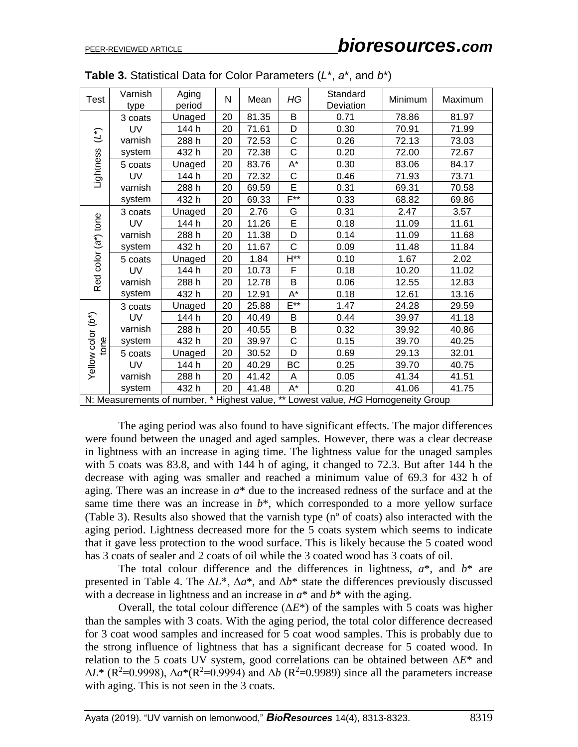| Test                      | Varnish<br>type                                                                   | Aging<br>period | N  | Mean  | HG                   | Standard<br>Deviation | Minimum | Maximum |  |
|---------------------------|-----------------------------------------------------------------------------------|-----------------|----|-------|----------------------|-----------------------|---------|---------|--|
|                           | 3 coats                                                                           | Unaged          | 20 | 81.35 | B                    | 0.71                  | 78.86   | 81.97   |  |
|                           | UV                                                                                | 144 h           | 20 | 71.61 | D                    | 0.30                  | 70.91   | 71.99   |  |
| $(\tilde{\cdot})$         | varnish                                                                           | 288 h           | 20 | 72.53 | C                    | 0.26                  | 72.13   | 73.03   |  |
|                           | system                                                                            | 432h            | 20 | 72.38 | $\overline{C}$       | 0.20                  | 72.00   | 72.67   |  |
| Lightness                 | 5 coats                                                                           | Unaged          | 20 | 83.76 | $\mathsf{A}^{\star}$ | 0.30                  | 83.06   | 84.17   |  |
|                           | UV                                                                                | 144 h           | 20 | 72.32 | $\mathsf C$          | 0.46                  | 71.93   | 73.71   |  |
|                           | varnish                                                                           | 288 h           | 20 | 69.59 | E                    | 0.31                  | 69.31   | 70.58   |  |
|                           | system                                                                            | 432h            | 20 | 69.33 | $F^{**}$             | 0.33                  | 68.82   | 69.86   |  |
|                           | 3 coats                                                                           | Unaged          | 20 | 2.76  | G                    | 0.31                  | 2.47    | 3.57    |  |
|                           | UV                                                                                | 144 h           | 20 | 11.26 | E                    | 0.18                  | 11.09   | 11.61   |  |
|                           | varnish                                                                           | 288 h           | 20 | 11.38 | D                    | 0.14                  | 11.09   | 11.68   |  |
| color (a*) tone<br>Red    | system                                                                            | 432 h           | 20 | 11.67 | $\mathsf{C}$         | 0.09                  | 11.48   | 11.84   |  |
|                           | 5 coats                                                                           | Unaged          | 20 | 1.84  | $H^{**}$             | 0.10                  | 1.67    | 2.02    |  |
|                           | UV                                                                                | 144 h           | 20 | 10.73 | F                    | 0.18                  | 10.20   | 11.02   |  |
|                           | varnish                                                                           | 288 h           | 20 | 12.78 | $\overline{B}$       | 0.06                  | 12.55   | 12.83   |  |
|                           | system                                                                            | 432 h           | 20 | 12.91 | $\mathsf{A}^{\star}$ | 0.18                  | 12.61   | 13.16   |  |
|                           | 3 coats                                                                           | Unaged          | 20 | 25.88 | $E^{**}$             | 1.47                  | 24.28   | 29.59   |  |
|                           | UV                                                                                | 144 h           | 20 | 40.49 | B                    | 0.44                  | 39.97   | 41.18   |  |
| Yellow color (b*)<br>tone | varnish                                                                           | 288 h           | 20 | 40.55 | B                    | 0.32                  | 39.92   | 40.86   |  |
|                           | system                                                                            | 432 h           | 20 | 39.97 | $\mathsf C$          | 0.15                  | 39.70   | 40.25   |  |
|                           | 5 coats                                                                           | Unaged          | 20 | 30.52 | D                    | 0.69                  | 29.13   | 32.01   |  |
|                           | UV                                                                                | 144 h           | 20 | 40.29 | BC                   | 0.25                  | 39.70   | 40.75   |  |
|                           | varnish                                                                           | 288 h           | 20 | 41.42 | A                    | 0.05                  | 41.34   | 41.51   |  |
|                           | system                                                                            | 432 h           | 20 | 41.48 | $\mathsf{A}^{\star}$ | 0.20                  | 41.06   | 41.75   |  |
|                           | N: Measurements of number, * Highest value, ** Lowest value, HG Homogeneity Group |                 |    |       |                      |                       |         |         |  |

| <b>Table 3.</b> Statistical Data for Color Parameters $(L^*, a^*,$ and $b^*)$ |  |  |  |
|-------------------------------------------------------------------------------|--|--|--|
|-------------------------------------------------------------------------------|--|--|--|

The aging period was also found to have significant effects. The major differences were found between the unaged and aged samples. However, there was a clear decrease in lightness with an increase in aging time. The lightness value for the unaged samples with 5 coats was 83.8, and with 144 h of aging, it changed to 72.3. But after 144 h the decrease with aging was smaller and reached a minimum value of 69.3 for 432 h of aging. There was an increase in *a*\* due to the increased redness of the surface and at the same time there was an increase in  $b^*$ , which corresponded to a more yellow surface (Table 3). Results also showed that the varnish type (nº of coats) also interacted with the aging period. Lightness decreased more for the 5 coats system which seems to indicate that it gave less protection to the wood surface. This is likely because the 5 coated wood has 3 coats of sealer and 2 coats of oil while the 3 coated wood has 3 coats of oil.

The total colour difference and the differences in lightness,  $a^*$ , and  $b^*$  are presented in Table 4. The  $\Delta L^*$ ,  $\Delta a^*$ , and  $\Delta b^*$  state the differences previously discussed with a decrease in lightness and an increase in *a*\* and *b*\* with the aging.

Overall, the total colour difference  $(\Delta E^*)$  of the samples with 5 coats was higher than the samples with 3 coats. With the aging period, the total color difference decreased for 3 coat wood samples and increased for 5 coat wood samples. This is probably due to the strong influence of lightness that has a significant decrease for 5 coated wood. In relation to the 5 coats UV system, good correlations can be obtained between Δ*E*\* and  $\Delta L^*$  (R<sup>2</sup>=0.9998),  $\Delta a^*(R^2=0.9994)$  and  $\Delta b$  (R<sup>2</sup>=0.9989) since all the parameters increase with aging. This is not seen in the 3 coats.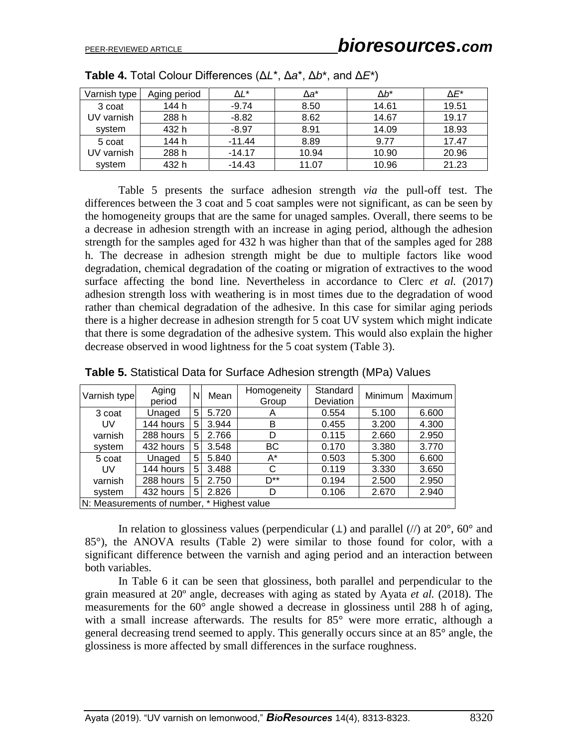| Varnish type | Aging period | ΔĽ*      | Δa*   | Δb*   | $\Delta E^*$ |
|--------------|--------------|----------|-------|-------|--------------|
| 3 coat       | 144 h        | $-9.74$  | 8.50  | 14.61 | 19.51        |
| UV varnish   | 288 h        | $-8.82$  | 8.62  | 14.67 | 19.17        |
| system       | 432 h        | $-8.97$  | 8.91  | 14.09 | 18.93        |
| 5 coat       | 144 h        | $-11.44$ | 8.89  | 9.77  | 17.47        |
| UV varnish   | 288 h        | $-14.17$ | 10.94 | 10.90 | 20.96        |
| system       | 432 h        | $-14.43$ | 11.07 | 10.96 | 21.23        |

**Table 4.** Total Colour Differences (Δ*L*\*, Δ*a*\*, Δ*b*\*, and Δ*E*\*)

Table 5 presents the surface adhesion strength *via* the pull-off test. The differences between the 3 coat and 5 coat samples were not significant, as can be seen by the homogeneity groups that are the same for unaged samples. Overall, there seems to be a decrease in adhesion strength with an increase in aging period, although the adhesion strength for the samples aged for 432 h was higher than that of the samples aged for 288 h. The decrease in adhesion strength might be due to multiple factors like wood degradation, chemical degradation of the coating or migration of extractives to the wood surface affecting the bond line. Nevertheless in accordance to Clerc *et al.* (2017) adhesion strength loss with weathering is in most times due to the degradation of wood rather than chemical degradation of the adhesive. In this case for similar aging periods there is a higher decrease in adhesion strength for 5 coat UV system which might indicate that there is some degradation of the adhesive system. This would also explain the higher decrease observed in wood lightness for the 5 coat system (Table 3).

| Aging<br>Varnish type<br>period            |           | N           | Mean  | Homogeneity<br>Group | Standard<br>Deviation | Minimum | Maximum |  |
|--------------------------------------------|-----------|-------------|-------|----------------------|-----------------------|---------|---------|--|
| 3 coat                                     | Unaged    | 5           | 5.720 | Α                    | 0.554                 | 5.100   | 6.600   |  |
| UV                                         | 144 hours | $5^{\circ}$ | 3.944 | в                    | 0.455                 | 3.200   | 4.300   |  |
| varnish                                    | 288 hours | 5           | 2.766 | D                    | 0.115                 | 2.660   | 2.950   |  |
| system                                     | 432 hours | 5           | 3.548 | ВC                   | 0.170                 | 3.380   | 3.770   |  |
| 5 coat                                     | Unaged    | 5           | 5.840 | A*                   | 0.503                 | 5.300   | 6.600   |  |
| UV                                         | 144 hours | 5           | 3.488 | C                    | 0.119                 | 3.330   | 3.650   |  |
| varnish                                    | 288 hours | $5^{\circ}$ | 2.750 | $D^{**}$             | 0.194                 | 2.500   | 2.950   |  |
| system                                     | 432 hours | 5.          | 2.826 | D                    | 0.106                 | 2.670   | 2.940   |  |
| N: Measurements of number, * Highest value |           |             |       |                      |                       |         |         |  |

**Table 5.** Statistical Data for Surface Adhesion strength (MPa) Values

In relation to glossiness values (perpendicular  $(L)$  and parallel  $\langle N \rangle$  at 20°, 60° and 85°), the ANOVA results (Table 2) were similar to those found for color, with a significant difference between the varnish and aging period and an interaction between both variables.

In Table 6 it can be seen that glossiness, both parallel and perpendicular to the grain measured at 20º angle, decreases with aging as stated by Ayata *et al.* (2018). The measurements for the  $60^{\circ}$  angle showed a decrease in glossiness until 288 h of aging, with a small increase afterwards. The results for 85° were more erratic, although a general decreasing trend seemed to apply. This generally occurs since at an 85° angle, the glossiness is more affected by small differences in the surface roughness.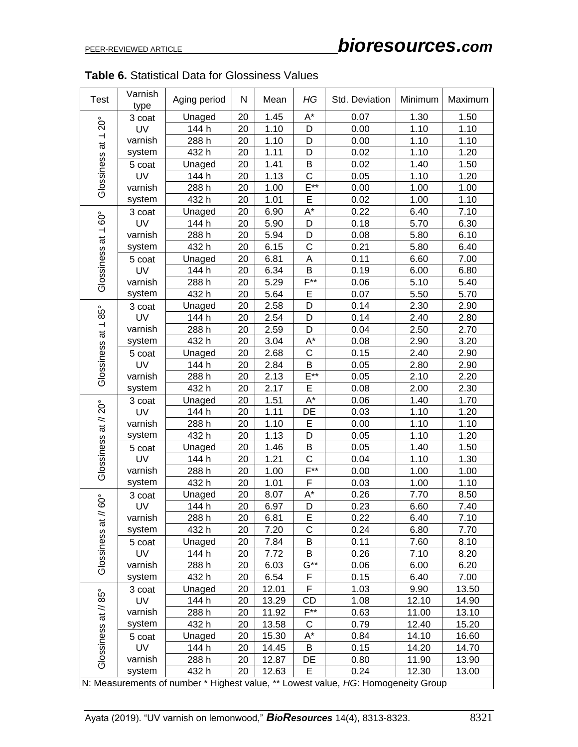| <b>Test</b>          | Varnish<br>type                                                                   | Aging period | N  | Mean  | HG                   | Std. Deviation | Minimum | Maximum |  |
|----------------------|-----------------------------------------------------------------------------------|--------------|----|-------|----------------------|----------------|---------|---------|--|
|                      | 3 coat                                                                            | Unaged       | 20 | 1.45  | A*                   | 0.07           | 1.30    | 1.50    |  |
| $20^{\circ}$         | UV                                                                                | 144 h        | 20 | 1.10  | D                    | 0.00           | 1.10    | 1.10    |  |
|                      | varnish                                                                           | 288 h        | 20 | 1.10  | D                    | 0.00           | 1.10    | 1.10    |  |
|                      | system                                                                            | 432 h        | 20 | 1.11  | D                    | 0.02           | 1.10    | 1.20    |  |
| Glossiness at 1      | 5 coat                                                                            | Unaged       | 20 | 1.41  | B                    | 0.02           | 1.40    | 1.50    |  |
|                      | UV                                                                                | 144 h        | 20 | 1.13  | $\mathsf{C}$         | 0.05           | 1.10    | 1.20    |  |
|                      | varnish                                                                           | 288 h        | 20 | 1.00  | $E^{**}$             | 0.00           | 1.00    | 1.00    |  |
|                      | system                                                                            | 432h         | 20 | 1.01  | E                    | 0.02           | 1.00    | 1.10    |  |
|                      | 3 coat                                                                            | Unaged       | 20 | 6.90  | $A^*$                | 0.22           | 6.40    | 7.10    |  |
| $160^{\circ}$        | UV                                                                                | 144 h        | 20 | 5.90  | D                    | 0.18           | 5.70    | 6.30    |  |
| $\vec{a}$            | varnish                                                                           | 288 h        | 20 | 5.94  | D                    | 0.08           | 5.80    | 6.10    |  |
|                      | system                                                                            | 432 h        | 20 | 6.15  | $\mathsf{C}$         | 0.21           | 5.80    | 6.40    |  |
|                      | 5 coat                                                                            | Unaged       | 20 | 6.81  | A                    | 0.11           | 6.60    | 7.00    |  |
|                      | UV                                                                                | 144 h        | 20 | 6.34  | B                    | 0.19           | 6.00    | 6.80    |  |
| Glossiness           | varnish                                                                           | 288 h        | 20 | 5.29  | $F***$               | 0.06           | 5.10    | 5.40    |  |
|                      | system                                                                            | 432h         | 20 | 5.64  | E                    | 0.07           | 5.50    | 5.70    |  |
|                      | 3 coat                                                                            | Unaged       | 20 | 2.58  | D                    | 0.14           | 2.30    | 2.90    |  |
| $85^{\circ}$         | UV                                                                                | 144 h        | 20 | 2.54  | D                    | 0.14           | 2.40    | 2.80    |  |
|                      | varnish                                                                           | 288 h        | 20 | 2.59  | D                    | 0.04           | 2.50    | 2.70    |  |
|                      | system                                                                            | 432h         | 20 | 3.04  | A*                   | 0.08           | 2.90    | 3.20    |  |
|                      | 5 coat                                                                            | Unaged       | 20 | 2.68  | $\mathsf{C}$         | 0.15           | 2.40    | 2.90    |  |
|                      | UV                                                                                | 144 h        | 20 | 2.84  | B                    | 0.05           | 2.80    | 2.90    |  |
| Glossiness at 1      | varnish                                                                           | 288 h        | 20 | 2.13  | $E^{**}$             | 0.05           | 2.10    | 2.20    |  |
|                      | system                                                                            | 432 h        | 20 | 2.17  | E                    | 0.08           | 2.00    | 2.30    |  |
| Glossiness at // 20° | 3 coat                                                                            | Unaged       | 20 | 1.51  | $\mathsf{A}^{\star}$ | 0.06           | 1.40    | 1.70    |  |
|                      | UV                                                                                | 144 h        | 20 | 1.11  | DE                   | 0.03           | 1.10    | 1.20    |  |
|                      | varnish                                                                           | 288 h        | 20 | 1.10  | Е                    | 0.00           | 1.10    | 1.10    |  |
|                      | system                                                                            | 432 h        | 20 | 1.13  | D                    | 0.05           | 1.10    | 1.20    |  |
|                      | 5 coat                                                                            | Unaged       | 20 | 1.46  | B                    | 0.05           | 1.40    | 1.50    |  |
|                      | UV                                                                                | 144 h        | 20 | 1.21  | C                    | 0.04           | 1.10    | 1.30    |  |
|                      | varnish                                                                           | 288 h        | 20 | 1.00  | $F^{**}$             | 0.00           | 1.00    | 1.00    |  |
|                      | system                                                                            | 432h         | 20 | 1.01  | F                    | 0.03           | 1.00    | 1.10    |  |
|                      | 3 coat                                                                            | Unaged       | 20 | 8.07  | A*                   | 0.26           | 7.70    | 8.50    |  |
| $60^{\circ}$         | UV                                                                                | 144 h        | 20 | 6.97  | D                    | 0.23           | 6.60    | 7.40    |  |
|                      | varnish                                                                           | 288 h        | 20 | 6.81  | Е                    | 0.22           | 6.40    | 7.10    |  |
|                      | system                                                                            | 432 h        | 20 | 7.20  | C                    | 0.24           | 6.80    | 7.70    |  |
|                      | 5 coat                                                                            | Unaged       | 20 | 7.84  | B                    | 0.11           | 7.60    | 8.10    |  |
|                      | <b>UV</b>                                                                         | 144 h        | 20 | 7.72  | B                    | 0.26           | 7.10    | 8.20    |  |
| Glossiness at //     | varnish                                                                           | 288 h        | 20 | 6.03  | $G^{**}$             | 0.06           | 6.00    | 6.20    |  |
|                      | system                                                                            | 432 h        | 20 | 6.54  | F                    | 0.15           | 6.40    | 7.00    |  |
| Glossiness at // 85° | 3 coat                                                                            | Unaged       | 20 | 12.01 | F                    | 1.03           | 9.90    | 13.50   |  |
|                      | <b>UV</b>                                                                         | 144 h        | 20 | 13.29 | <b>CD</b>            | 1.08           | 12.10   | 14.90   |  |
|                      | varnish                                                                           | 288 h        | 20 | 11.92 | $F^{**}$             | 0.63           | 11.00   | 13.10   |  |
|                      | system                                                                            | 432 h        | 20 | 13.58 | С                    | 0.79           | 12.40   | 15.20   |  |
|                      | 5 coat                                                                            | Unaged       | 20 | 15.30 | A*                   | 0.84           | 14.10   | 16.60   |  |
|                      | UV                                                                                | 144 h        | 20 | 14.45 | B                    | 0.15           | 14.20   | 14.70   |  |
|                      | varnish                                                                           | 288 h        | 20 | 12.87 | DE                   | 0.80           | 11.90   | 13.90   |  |
|                      | system                                                                            | 432 h        | 20 | 12.63 | E                    | 0.24           | 12.30   | 13.00   |  |
|                      | N: Measurements of number * Highest value, ** Lowest value, HG: Homogeneity Group |              |    |       |                      |                |         |         |  |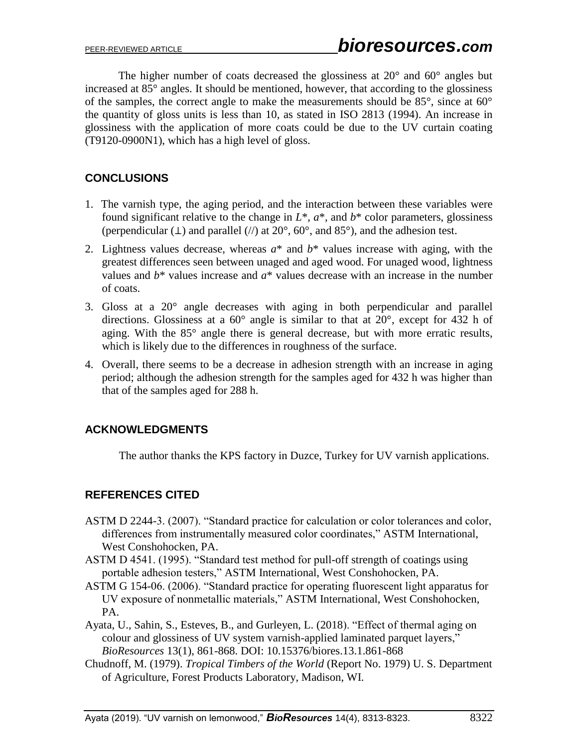The higher number of coats decreased the glossiness at 20° and 60° angles but increased at 85° angles. It should be mentioned, however, that according to the glossiness of the samples, the correct angle to make the measurements should be 85°, since at 60° the quantity of gloss units is less than 10, as stated in ISO 2813 (1994). An increase in glossiness with the application of more coats could be due to the UV curtain coating (T9120-0900N1), which has a high level of gloss.

# **CONCLUSIONS**

- 1. The varnish type, the aging period, and the interaction between these variables were found significant relative to the change in  $L^*$ ,  $a^*$ , and  $b^*$  color parameters, glossiness (perpendicular ( $\perp$ ) and parallel (//) at 20°, 60°, and 85°), and the adhesion test.
- 2. Lightness values decrease, whereas  $a^*$  and  $b^*$  values increase with aging, with the greatest differences seen between unaged and aged wood. For unaged wood, lightness values and  $b^*$  values increase and  $a^*$  values decrease with an increase in the number of coats.
- 3. Gloss at a 20° angle decreases with aging in both perpendicular and parallel directions. Glossiness at a 60° angle is similar to that at 20°, except for 432 h of aging. With the 85° angle there is general decrease, but with more erratic results, which is likely due to the differences in roughness of the surface.
- 4. Overall, there seems to be a decrease in adhesion strength with an increase in aging period; although the adhesion strength for the samples aged for 432 h was higher than that of the samples aged for 288 h.

# **ACKNOWLEDGMENTS**

The author thanks the KPS factory in Duzce, Turkey for UV varnish applications.

# **REFERENCES CITED**

- ASTM D 2244-3. (2007). "Standard practice for calculation or color tolerances and color, differences from instrumentally measured color coordinates," ASTM International, West Conshohocken, PA.
- ASTM D 4541. (1995). "Standard test method for pull-off strength of coatings using portable adhesion testers," ASTM International, West Conshohocken, PA.
- ASTM G 154-06. (2006). "Standard practice for operating fluorescent light apparatus for UV exposure of nonmetallic materials," ASTM International, West Conshohocken, PA.
- Ayata, U., Sahin, S., Esteves, B., and Gurleyen, L. (2018). "Effect of thermal aging on colour and glossiness of UV system varnish-applied laminated parquet layers," *BioResources* 13(1), 861-868. DOI: 10.15376/biores.13.1.861-868
- Chudnoff, M. (1979). *Tropical Timbers of the World* (Report No. 1979) U. S. Department of Agriculture, Forest Products Laboratory, Madison, WI.